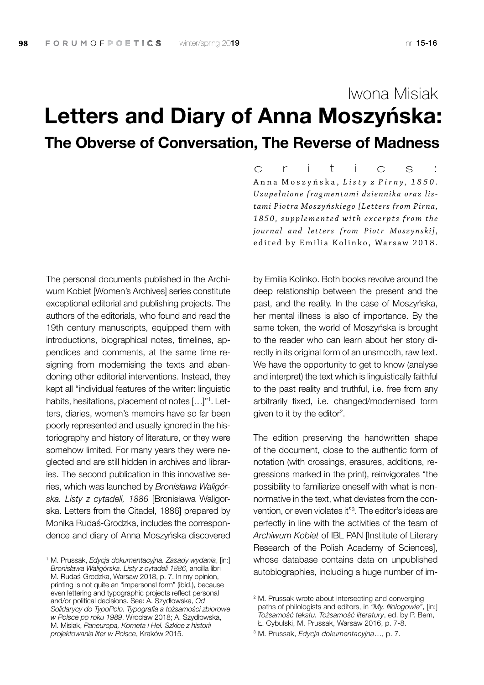## Letters and Diary of Anna Moszyńska: The Obverse of Conversation, The Reverse of Madness Iwona Misiak

The personal documents published in the Archiwum Kobiet [Women's Archives] series constitute exceptional editorial and publishing projects. The authors of the editorials, who found and read the 19th century manuscripts, equipped them with introductions, biographical notes, timelines, appendices and comments, at the same time resigning from modernising the texts and abandoning other editorial interventions. Instead, they kept all "individual features of the writer: linguistic habits, hesitations, placement of notes [...]"<sup>1</sup>. Letters, diaries, women's memoirs have so far been poorly represented and usually ignored in the historiography and history of literature, or they were somehow limited. For many years they were neglected and are still hidden in archives and libraries. The second publication in this innovative series, which was launched by *Bronisława Waligórska. Listy z cytadeli, 1886* [Bronisława Waligorska. Letters from the Citadel, 1886] prepared by Monika Rudaś-Grodzka, includes the correspondence and diary of Anna Moszyńska discovered

Anna Moszyńska, *Listy z Pirny*, 1850. *Uzupełnione fragmentami dziennika oraz listami Piotra Mosz yńskie go [L etters from Pir na, 1 8 5 0 , s u p p l e m e n t e d w i t h e x c e r p t s f r o m the journal and letters from Piotr Moszynski]*, edited by Emilia Kolinko, Warsaw 2018. c r i t i c s :

by Emilia Kolinko. Both books revolve around the deep relationship between the present and the past, and the reality. In the case of Moszyńska, her mental illness is also of importance. By the same token, the world of Moszyńska is brought to the reader who can learn about her story directly in its original form of an unsmooth, raw text. We have the opportunity to get to know (analyse) and interpret) the text which is linguistically faithful to the past reality and truthful, i.e. free from any arbitrarily fixed, i.e. changed/modernised form given to it by the editor<sup>2</sup>.

The edition preserving the handwritten shape of the document, close to the authentic form of notation (with crossings, erasures, additions, regressions marked in the print), reinvigorates "the possibility to familiarize oneself with what is nonnormative in the text, what deviates from the convention, or even violates it"3 . The editor's ideas are perfectly in line with the activities of the team of *Archiwum Kobiet* of IBL PAN [Institute of Literary Research of the Polish Academy of Sciences], whose database contains data on unpublished autobiographies, including a huge number of im-

<sup>1</sup> M. Prussak, *Edycja dokumentacyjna. Zasady wydania*, [in:] *Bronisława Waligórska. Listy z cytadeli 1886*, ancilla libri M. Rudaś-Grodzka, Warsaw 2018, p. 7. In my opinion, printing is not quite an "impersonal form" (ibid.), because even lettering and typographic projects reflect personal and/or political decisions. See: A. Szydłowska, *Od Solidarycy do TypoPolo. Typografia a tożsamości zbiorowe w Polsce po roku 1989*, Wrocław 2018; A. Szydłowska, M. Misiak, *Paneuropa, Kometa i Hel. Szkice z historii projektowania liter w Polsce*, Kraków 2015.

<sup>2</sup> M. Prussak wrote about intersecting and converging paths of philologists and editors, in *"My, filologowie"*, [in:] *Tożsamość tekstu. Tożsamość literatury*, ed. by P. Bem, Ł. Cybulski, M. Prussak, Warsaw 2016, p. 7-8.

<sup>3</sup> M. Prussak, *Edycja dokumentacyjna*…, p. 7.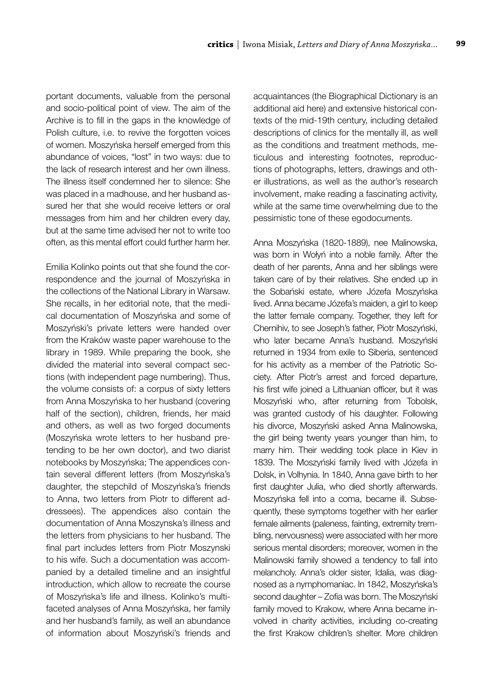portant documents, valuable from the personal and socio-political point of view. The aim of the Archive is to fill in the gaps in the knowledge of Polish culture, i.e. to revive the forgotten voices of women. Moszyńska herself emerged from this abundance of voices, "lost" in two ways: due to the lack of research interest and her own illness. The illness itself condemned her to silence: She was placed in a madhouse, and her husband assured her that she would receive letters or oral messages from him and her children every day, but at the same time advised her not to write too often, as this mental effort could further harm her.

Emilia Kolinko points out that she found the correspondence and the journal of Moszyńska in the collections of the National Library in Warsaw. She recalls, in her editorial note, that the medical documentation of Moszyńska and some of Moszyński's private letters were handed over from the Kraków waste paper warehouse to the library in 1989. While preparing the book, she divided the material into several compact sections (with independent page numbering). Thus, the volume consists of: a corpus of sixty letters from Anna Moszyńska to her husband (covering half of the section), children, friends, her maid and others, as well as two forged documents (Moszyńska wrote letters to her husband pretending to be her own doctor), and two diarist notebooks by Moszyńska; The appendices contain several different letters (from Moszyńska's daughter, the stepchild of Moszyńska's friends to Anna, two letters from Piotr to different addressees). The appendices also contain the documentation of Anna Moszynska's illness and the letters from physicians to her husband. The final part includes letters from Piotr Moszynski to his wife. Such a documentation was accompanied by a detailed timeline and an insightful introduction, which allow to recreate the course of Moszyńska's life and illness. Kolinko's multifaceted analyses of Anna Moszyńska, her family and her husband's family, as well an abundance of information about Moszyński's friends and acquaintances (the Biographical Dictionary is an additional aid here) and extensive historical contexts of the mid-19th century, including detailed descriptions of clinics for the mentally ill, as well as the conditions and treatment methods, meticulous and interesting footnotes, reproductions of photographs, letters, drawings and other illustrations, as well as the author's research involvement, make reading a fascinating activity, while at the same time overwhelming due to the pessimistic tone of these egodocuments.

Anna Moszyńska (1820-1889), nee Malinowska, was born in Wołyń into a noble family. After the death of her parents, Anna and her siblings were taken care of by their relatives. She ended up in the Sobański estate, where Józefa Moszyńska lived. Anna became Józefa's maiden, a girl to keep the latter female company. Together, they left for Chernihiv, to see Joseph's father, Piotr Moszyński, who later became Anna's husband. Moszyński returned in 1934 from exile to Siberia, sentenced for his activity as a member of the Patriotic Society. After Piotr's arrest and forced departure, his first wife joined a Lithuanian officer, but it was Moszyński who, after returning from Tobolsk, was granted custody of his daughter. Following his divorce, Moszyński asked Anna Malinowska, the girl being twenty years younger than him, to marry him. Their wedding took place in Kiev in 1839. The Moszyński family lived with Józefa in Dolsk, in Volhynia. In 1840, Anna gave birth to her first daughter Julia, who died shortly afterwards. Moszyńska fell into a coma, became ill. Subsequently, these symptoms together with her earlier female ailments (paleness, fainting, extremity trembling, nervousness) were associated with her more serious mental disorders; moreover, women in the Malinowski family showed a tendency to fall into melancholy. Anna's older sister, Idalia, was diagnosed as a nymphomaniac. In 1842, Moszyńska's second daughter – Zofia was born. The Moszyński family moved to Krakow, where Anna became involved in charity activities, including co-creating the first Krakow children's shelter. More children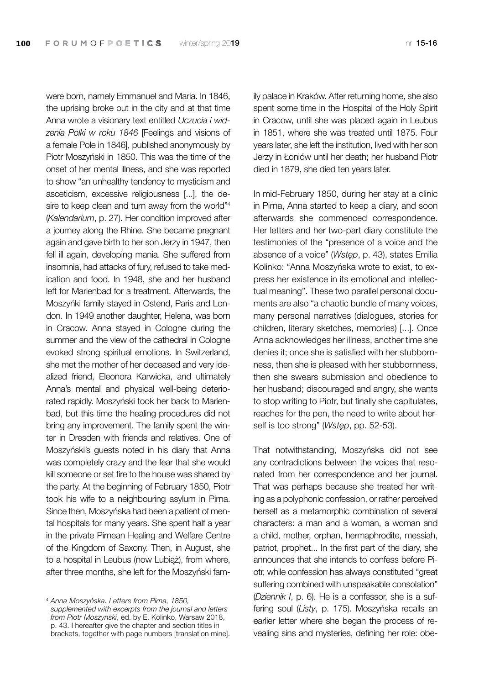were born, namely Emmanuel and Maria. In 1846, the uprising broke out in the city and at that time Anna wrote a visionary text entitled *Uczucia i widzenia Polki w roku 1846* [Feelings and visions of a female Pole in 1846], published anonymously by Piotr Moszyński in 1850. This was the time of the onset of her mental illness, and she was reported to show "an unhealthy tendency to mysticism and asceticism, excessive religiousness [...], the desire to keep clean and turn away from the world"<sup>4</sup> (*Kalendarium*, p. 27). Her condition improved after a journey along the Rhine. She became pregnant again and gave birth to her son Jerzy in 1947, then fell ill again, developing mania. She suffered from insomnia, had attacks of fury, refused to take medication and food. In 1948, she and her husband left for Marienbad for a treatment. Afterwards, the Moszyńki family stayed in Ostend, Paris and London. In 1949 another daughter, Helena, was born in Cracow. Anna stayed in Cologne during the summer and the view of the cathedral in Cologne evoked strong spiritual emotions. In Switzerland, she met the mother of her deceased and very idealized friend, Eleonora Karwicka, and ultimately Anna's mental and physical well-being deteriorated rapidly. Moszyński took her back to Marienbad, but this time the healing procedures did not bring any improvement. The family spent the winter in Dresden with friends and relatives. One of Moszyński's guests noted in his diary that Anna was completely crazy and the fear that she would kill someone or set fire to the house was shared by the party. At the beginning of February 1850, Piotr took his wife to a neighbouring asylum in Pirna. Since then, Moszyńska had been a patient of mental hospitals for many years. She spent half a year in the private Pirnean Healing and Welfare Centre of the Kingdom of Saxony. Then, in August, she to a hospital in Leubus (now Lubiąż), from where, after three months, she left for the Moszyński fam-

<sup>4</sup> *Anna Moszyńska. Letters from Pirna, 1850, supplemented with excerpts from the journal and letters from Piotr Moszynski*, ed. by E. Kolinko, Warsaw 2018, p. 43. I hereafter give the chapter and section titles in brackets, together with page numbers [translation mine]. ily palace in Kraków. After returning home, she also spent some time in the Hospital of the Holy Spirit in Cracow, until she was placed again in Leubus in 1851, where she was treated until 1875. Four years later, she left the institution, lived with her son Jerzy in Łoniów until her death; her husband Piotr died in 1879, she died ten years later.

In mid-February 1850, during her stay at a clinic in Pirna, Anna started to keep a diary, and soon afterwards she commenced correspondence. Her letters and her two-part diary constitute the testimonies of the "presence of a voice and the absence of a voice" (*Wstęp*, p. 43), states Emilia Kolinko: "Anna Moszyńska wrote to exist, to express her existence in its emotional and intellectual meaning". These two parallel personal documents are also "a chaotic bundle of many voices, many personal narratives (dialogues, stories for children, literary sketches, memories) [...]. Once Anna acknowledges her illness, another time she denies it; once she is satisfied with her stubbornness, then she is pleased with her stubbornness, then she swears submission and obedience to her husband; discouraged and angry, she wants to stop writing to Piotr, but finally she capitulates, reaches for the pen, the need to write about herself is too strong" (*Wstęp*, pp. 52-53).

That notwithstanding, Moszyńska did not see any contradictions between the voices that resonated from her correspondence and her journal. That was perhaps because she treated her writing as a polyphonic confession, or rather perceived herself as a metamorphic combination of several characters: a man and a woman, a woman and a child, mother, orphan, hermaphrodite, messiah, patriot, prophet... In the first part of the diary, she announces that she intends to confess before Piotr, while confession has always constituted "great suffering combined with unspeakable consolation" (*Dziennik I*, p. 6). He is a confessor, she is a suffering soul (*Listy*, p. 175). Moszyńska recalls an earlier letter where she began the process of revealing sins and mysteries, defining her role: obe-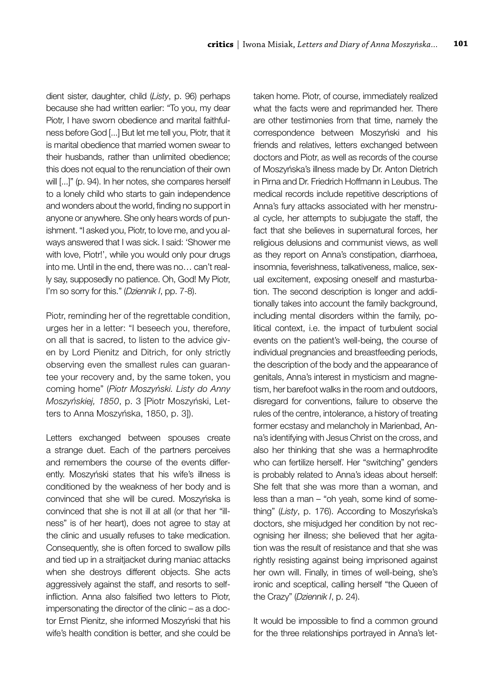dient sister, daughter, child (*Listy*, p. 96) perhaps because she had written earlier: "To you, my dear Piotr, I have sworn obedience and marital faithfulness before God [...] But let me tell you, Piotr, that it is marital obedience that married women swear to their husbands, rather than unlimited obedience; this does not equal to the renunciation of their own will [...]" (p. 94). In her notes, she compares herself to a lonely child who starts to gain independence and wonders about the world, finding no support in anyone or anywhere. She only hears words of punishment. "I asked you, Piotr, to love me, and you always answered that I was sick. I said: 'Shower me with love, Piotr!', while you would only pour drugs into me. Until in the end, there was no… can't really say, supposedly no patience. Oh, God! My Piotr, I'm so sorry for this." (*Dziennik I*, pp. 7-8).

Piotr, reminding her of the regrettable condition, urges her in a letter: "I beseech you, therefore, on all that is sacred, to listen to the advice given by Lord Pienitz and Ditrich, for only strictly observing even the smallest rules can guarantee your recovery and, by the same token, you coming home" (*Piotr Moszyński. Listy do Anny Moszyńskiej, 1850*, p. 3 [Piotr Moszyński, Letters to Anna Moszyńska, 1850, p. 3]).

Letters exchanged between spouses create a strange duet. Each of the partners perceives and remembers the course of the events differently. Moszyński states that his wife's illness is conditioned by the weakness of her body and is convinced that she will be cured. Moszyńska is convinced that she is not ill at all (or that her "illness" is of her heart), does not agree to stay at the clinic and usually refuses to take medication. Consequently, she is often forced to swallow pills and tied up in a straitjacket during maniac attacks when she destroys different objects. She acts aggressively against the staff, and resorts to selfinfliction. Anna also falsified two letters to Piotr, impersonating the director of the clinic – as a doctor Ernst Pienitz, she informed Moszyński that his wife's health condition is better, and she could be taken home. Piotr, of course, immediately realized what the facts were and reprimanded her. There are other testimonies from that time, namely the correspondence between Moszyński and his friends and relatives, letters exchanged between doctors and Piotr, as well as records of the course of Moszyńska's illness made by Dr. Anton Dietrich in Pirna and Dr. Friedrich Hoffmann in Leubus. The medical records include repetitive descriptions of Anna's fury attacks associated with her menstrual cycle, her attempts to subjugate the staff, the fact that she believes in supernatural forces, her religious delusions and communist views, as well as they report on Anna's constipation, diarrhoea, insomnia, feverishness, talkativeness, malice, sexual excitement, exposing oneself and masturbation. The second description is longer and additionally takes into account the family background, including mental disorders within the family, political context, i.e. the impact of turbulent social events on the patient's well-being, the course of individual pregnancies and breastfeeding periods, the description of the body and the appearance of genitals, Anna's interest in mysticism and magnetism, her barefoot walks in the room and outdoors, disregard for conventions, failure to observe the rules of the centre, intolerance, a history of treating former ecstasy and melancholy in Marienbad, Anna's identifying with Jesus Christ on the cross, and also her thinking that she was a hermaphrodite who can fertilize herself. Her "switching" genders is probably related to Anna's ideas about herself: She felt that she was more than a woman, and less than a man – "oh yeah, some kind of something" (*Listy*, p. 176). According to Moszyńska's doctors, she misjudged her condition by not recognising her illness; she believed that her agitation was the result of resistance and that she was rightly resisting against being imprisoned against her own will. Finally, in times of well-being, she's ironic and sceptical, calling herself "the Queen of the Crazy" (*Dziennik I*, p. 24).

It would be impossible to find a common ground for the three relationships portrayed in Anna's let-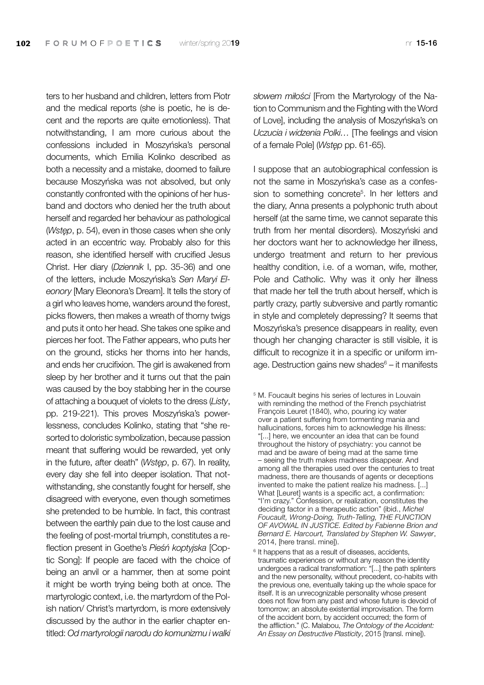ters to her husband and children, letters from Piotr and the medical reports (she is poetic, he is decent and the reports are quite emotionless). That notwithstanding, I am more curious about the confessions included in Moszyńska's personal documents, which Emilia Kolinko described as both a necessity and a mistake, doomed to failure because Moszyńska was not absolved, but only constantly confronted with the opinions of her husband and doctors who denied her the truth about herself and regarded her behaviour as pathological (*Wstęp*, p. 54), even in those cases when she only acted in an eccentric way. Probably also for this reason, she identified herself with crucified Jesus Christ. Her diary (*Dziennik* I, pp. 35-36) and one of the letters, include Moszyńska's *Sen Maryi Eleonory* [Mary Eleonora's Dream]. It tells the story of a girl who leaves home, wanders around the forest, picks flowers, then makes a wreath of thorny twigs and puts it onto her head. She takes one spike and pierces her foot. The Father appears, who puts her on the ground, sticks her thorns into her hands, and ends her crucifixion. The girl is awakened from sleep by her brother and it turns out that the pain was caused by the boy stabbing her in the course of attaching a bouquet of violets to the dress (*Listy*, pp. 219-221). This proves Moszyńska's powerlessness, concludes Kolinko, stating that "she resorted to doloristic symbolization, because passion meant that suffering would be rewarded, yet only in the future, after death" (*Wstęp*, p. 67). In reality, every day she fell into deeper isolation. That notwithstanding, she constantly fought for herself, she disagreed with everyone, even though sometimes she pretended to be humble. In fact, this contrast between the earthly pain due to the lost cause and the feeling of post-mortal triumph, constitutes a reflection present in Goethe's *Pieśń koptyjska* [Coptic Song]: If people are faced with the choice of being an anvil or a hammer, then at some point it might be worth trying being both at once. The martyrologic context, i.e. the martyrdom of the Polish nation/ Christ's martyrdom, is more extensively discussed by the author in the earlier chapter entitled: *Od martyrologii narodu do komunizmu i walki*  *słowem miłości* [From the Martyrology of the Nation to Communism and the Fighting with the Word of Love], including the analysis of Moszyńska's on *Uczucia i widzenia Polki…* [The feelings and vision of a female Pole] (*Wstęp* pp. 61-65).

I suppose that an autobiographical confession is not the same in Moszyńska's case as a confession to something concrete<sup>5</sup>. In her letters and the diary, Anna presents a polyphonic truth about herself (at the same time, we cannot separate this truth from her mental disorders). Moszyński and her doctors want her to acknowledge her illness, undergo treatment and return to her previous healthy condition, i.e. of a woman, wife, mother, Pole and Catholic. Why was it only her illness that made her tell the truth about herself, which is partly crazy, partly subversive and partly romantic in style and completely depressing? It seems that Moszyńska's presence disappears in reality, even though her changing character is still visible, it is difficult to recognize it in a specific or uniform image. Destruction gains new shades $6 - it$  manifests

<sup>&</sup>lt;sup>5</sup> M. Foucault begins his series of lectures in Louvain with reminding the method of the French psychiatrist François Leuret (1840), who, pouring icy water over a patient suffering from tormenting mania and hallucinations, forces him to acknowledge his illness: "[...] here, we encounter an idea that can be found throughout the history of psychiatry: you cannot be mad and be aware of being mad at the same time – seeing the truth makes madness disappear. And among all the therapies used over the centuries to treat madness, there are thousands of agents or deceptions invented to make the patient realize his madness. [...] What [Leuret] wants is a specific act, a confirmation: "I'm crazy." Confession, or realization, constitutes the deciding factor in a therapeutic action" (ibid., *Michel Foucault, Wrong-Doing, Truth-Telling, THE FUNCTION OF AVOWAL IN JUSTICE. Edited by Fabienne Brion and Bernard E. Harcourt, Translated by Stephen W. Sawyer*, 2014, [here transl. mine]).

<sup>&</sup>lt;sup>6</sup> It happens that as a result of diseases, accidents, traumatic experiences or without any reason the identity undergoes a radical transformation: "[...] the path splinters and the new personality, without precedent, co-habits with the previous one, eventually taking up the whole space for itself. It is an unrecognizable personality whose present does not flow from any past and whose future is devoid of tomorrow; an absolute existential improvisation. The form of the accident born, by accident occurred; the form of the affliction." (C. Malabou, *The Ontology of the Accident: An Essay on Destructive Plasticity*, 2015 [transl. mine]).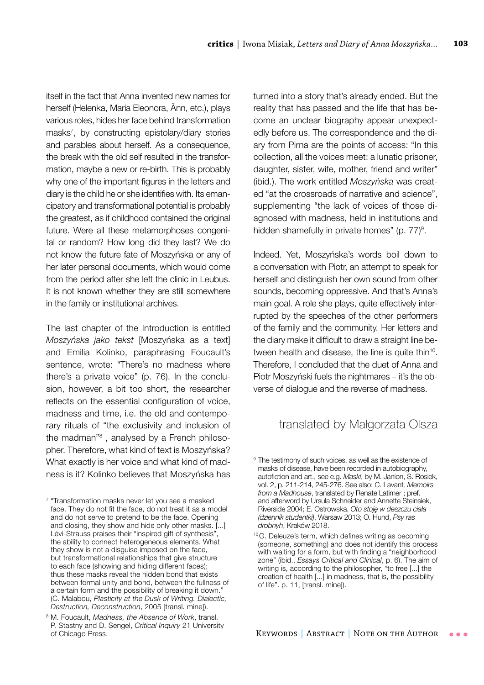itself in the fact that Anna invented new names for herself (Helenka, Maria Eleonora, Ânn, etc.), plays various roles, hides her face behind transformation masks7 , by constructing epistolary/diary stories and parables about herself. As a consequence, the break with the old self resulted in the transformation, maybe a new or re-birth. This is probably why one of the important figures in the letters and diary is the child he or she identifies with. Its emancipatory and transformational potential is probably the greatest, as if childhood contained the original future. Were all these metamorphoses congenital or random? How long did they last? We do not know the future fate of Moszyńska or any of her later personal documents, which would come from the period after she left the clinic in Leubus. It is not known whether they are still somewhere in the family or institutional archives.

The last chapter of the Introduction is entitled *Moszyńska jako tekst* [Moszyńska as a text] and Emilia Kolinko, paraphrasing Foucault's sentence, wrote: "There's no madness where there's a private voice" (p. 76). In the conclusion, however, a bit too short, the researcher reflects on the essential configuration of voice, madness and time, i.e. the old and contemporary rituals of "the exclusivity and inclusion of the madman"<sup>8</sup>, analysed by a French philosopher. Therefore, what kind of text is Moszyńska? What exactly is her voice and what kind of madness is it? Kolinko believes that Moszyńska has turned into a story that's already ended. But the reality that has passed and the life that has become an unclear biography appear unexpectedly before us. The correspondence and the diary from Pirna are the points of access: "In this collection, all the voices meet: a lunatic prisoner, daughter, sister, wife, mother, friend and writer" (ibid.). The work entitled *Moszyńska* was created "at the crossroads of narrative and science", supplementing "the lack of voices of those diagnosed with madness, held in institutions and hidden shamefully in private homes" (p. 77)<sup>9</sup>.

Indeed. Yet, Moszyńska's words boil down to a conversation with Piotr, an attempt to speak for herself and distinguish her own sound from other sounds, becoming oppressive. And that's Anna's main goal. A role she plays, quite effectively interrupted by the speeches of the other performers of the family and the community. Her letters and the diary make it difficult to draw a straight line between health and disease, the line is quite thin<sup>10</sup>. Therefore, I concluded that the duet of Anna and Piotr Moszyński fuels the nightmares – it's the obverse of dialogue and the reverse of madness.

#### translated by Małgorzata Olsza

<sup>&</sup>lt;sup>7</sup> "Transformation masks never let you see a masked face. They do not fit the face, do not treat it as a model and do not serve to pretend to be the face. Opening and closing, they show and hide only other masks. [...] Lévi-Strauss praises their "inspired gift of synthesis" the ability to connect heterogeneous elements. What they show is not a disguise imposed on the face, but transformational relationships that give structure to each face (showing and hiding different faces); thus these masks reveal the hidden bond that exists between formal unity and bond, between the fullness of a certain form and the possibility of breaking it down." (C. Malabou, *Plasticity at the Dusk of Writing. Dialectic, Destruction, Deconstruction*, 2005 [transl. mine]).

<sup>8</sup> M. Foucault, *Madness, the Absence of Work*, transl. P. Stastny and D. Sengel, *Critical Inquiry* 21 University of Chicago Press.

<sup>&</sup>lt;sup>9</sup> The testimony of such voices, as well as the existence of masks of disease, have been recorded in autobiography, autofiction and art., see e.g. *Maski*, by M. Janion, S. Rosiek, vol. 2, p. 211-214, 245-276. See also: C. Lavant*, Memoirs from a Madhouse*, translated by Renate Latimer ; pref. and afterword by Ursula Schneider and Annette Steinsiek, Riverside 2004; E. Ostrowska, *Oto stoję w deszczu ciała (dziennik studentki)*, Warsaw 2013; O. Hund, *Psy ras drobnyh*, Kraków 2018.

<sup>&</sup>lt;sup>10</sup>G. Deleuze's term, which defines writing as becoming (someone, something) and does not identify this process with waiting for a form, but with finding a "neighborhood zone" (ibid., *Essays Critical and Clinical*, p. 6). The aim of writing is, according to the philosopher, "to free [...] the creation of health [...] in madness, that is, the possibility of life". p. 11, [transl. mine]).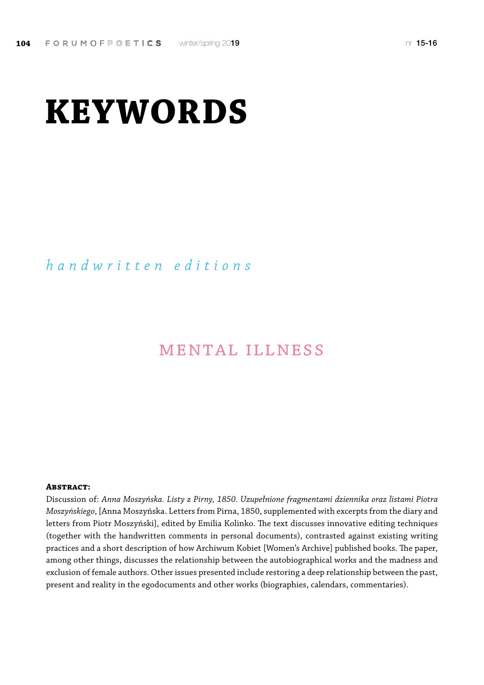# **KEYWORDS**

### *handwritten editions*

## mental illness

#### **Abstract:**

Discussion of: *Anna Moszyńska. Listy z Pirny, 1850. Uzupełnione fragmentami dziennika oraz listami Piotra Moszyńskiego*, [Anna Moszyńska. Letters from Pirna, 1850, supplemented with excerpts from the diary and letters from Piotr Moszyński], edited by Emilia Kolinko. The text discusses innovative editing techniques (together with the handwritten comments in personal documents), contrasted against existing writing practices and a short description of how Archiwum Kobiet [Women's Archive] published books. The paper, among other things, discusses the relationship between the autobiographical works and the madness and exclusion of female authors. Other issues presented include restoring a deep relationship between the past, present and reality in the egodocuments and other works (biographies, calendars, commentaries).